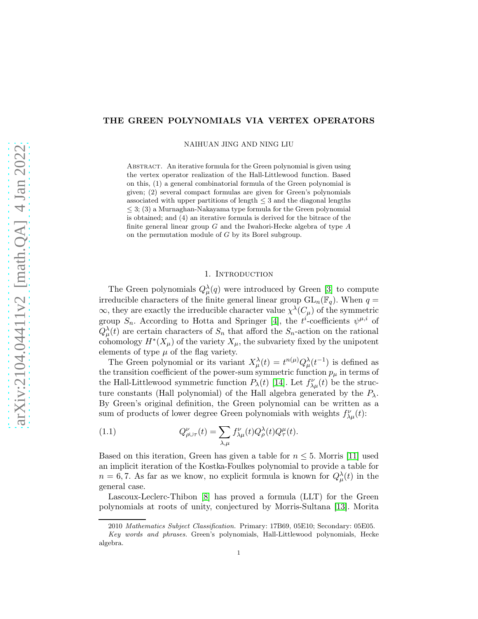## THE GREEN POLYNOMIALS VIA VERTEX OPERATORS

NAIHUAN JING AND NING LIU

ABSTRACT. An iterative formula for the Green polynomial is given using the vertex operator realization of the Hall-Littlewood function. Based on this, (1) a general combinatorial formula of the Green polynomial is given; (2) several compact formulas are given for Green's polynomials associated with upper partitions of length  $\leq$  3 and the diagonal lengths  $\leq$  3; (3) a Murnaghan-Nakayama type formula for the Green polynomial is obtained; and (4) an iterative formula is derived for the bitrace of the finite general linear group  $G$  and the Iwahori-Hecke algebra of type  $A$ on the permutation module of G by its Borel subgroup.

### 1. INTRODUCTION

The Green polynomials  $Q_{\mu}^{\lambda}(q)$  were introduced by Green [\[3\]](#page-18-0) to compute irreducible characters of the finite general linear group  $GL_n(\mathbb{F}_q)$ . When  $q =$  $\infty$ , they are exactly the irreducible character value  $\chi^{\lambda}(C_{\mu})$  of the symmetric group  $S_n$ . According to Hotta and Springer [\[4\]](#page-18-1), the  $t^i$ -coefficients  $\psi^{\mu,i}$  of  $Q_{\mu}^{\lambda}(t)$  are certain characters of  $S_n$  that afford the  $S_n$ -action on the rational cohomology  $H^*(X_\mu)$  of the variety  $X_\mu$ , the subvariety fixed by the unipotent elements of type  $\mu$  of the flag variety.

The Green polynomial or its variant  $X^{\lambda}_{\mu}(t) = t^{n(\mu)} Q^{\lambda}_{\mu}(t^{-1})$  is defined as the transition coefficient of the power-sum symmetric function  $p_\mu$  in terms of the Hall-Littlewood symmetric function  $P_{\lambda}(t)$  [\[14\]](#page-18-2). Let  $f^{\nu}_{\lambda\mu}(t)$  be the structure constants (Hall polynomial) of the Hall algebra generated by the  $P_{\lambda}$ . By Green's original definition, the Green polynomial can be written as a sum of products of lower degree Green polynomials with weights  $f_{\lambda\mu}^{\nu}(t)$ :

(1.1) 
$$
Q_{\rho \cup \tau}^{\nu}(t) = \sum_{\lambda, \mu} f_{\lambda \mu}^{\nu}(t) Q_{\rho}^{\lambda}(t) Q_{\tau}^{\mu}(t).
$$

Based on this iteration, Green has given a table for  $n \leq 5$ . Morris [\[11\]](#page-18-3) used an implicit iteration of the Kostka-Foulkes polynomial to provide a table for  $n = 6, 7$ . As far as we know, no explicit formula is known for  $Q^{\lambda}_{\mu}(t)$  in the general case.

Lascoux-Leclerc-Thibon [\[8\]](#page-18-4) has proved a formula (LLT) for the Green polynomials at roots of unity, conjectured by Morris-Sultana [\[13\]](#page-18-5). Morita

<sup>2010</sup> *Mathematics Subject Classification.* Primary: 17B69, 05E10; Secondary: 05E05.

*Key words and phrases.* Green's polynomials, Hall-Littlewood polynomials, Hecke algebra.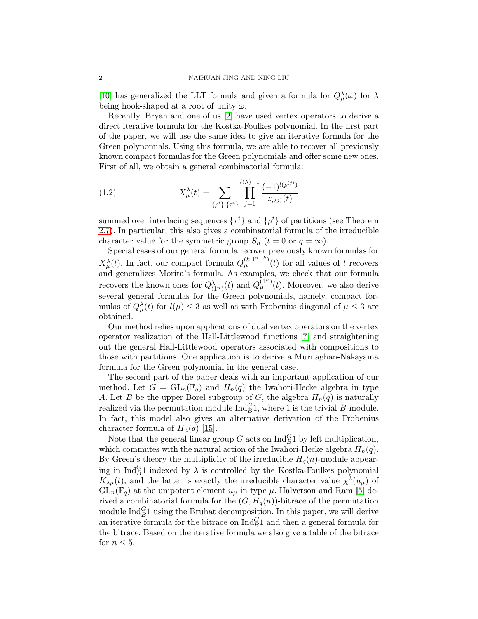[\[10\]](#page-18-6) has generalized the LLT formula and given a formula for  $Q^{\lambda}_{\mu}(\omega)$  for  $\lambda$ being hook-shaped at a root of unity  $\omega$ .

Recently, Bryan and one of us [\[2\]](#page-18-7) have used vertex operators to derive a direct iterative formula for the Kostka-Foulkes polynomial. In the first part of the paper, we will use the same idea to give an iterative formula for the Green polynomials. Using this formula, we are able to recover all previously known compact formulas for the Green polynomials and offer some new ones. First of all, we obtain a general combinatorial formula:

(1.2) 
$$
X_{\mu}^{\lambda}(t) = \sum_{\{\rho^{i}\},\{\tau^{i}\}} \prod_{j=1}^{l(\lambda)-1} \frac{(-1)^{l(\rho^{(j)})}}{z_{\rho^{(j)}}(t)}
$$

summed over interlacing sequences  $\{\tau^i\}$  and  $\{\rho^i\}$  of partitions (see Theorem [2.7\)](#page-8-0). In particular, this also gives a combinatorial formula of the irreducible character value for the symmetric group  $S_n$   $(t = 0 \text{ or } q = \infty)$ .

Special cases of our general formula recover previously known formulas for  $X^{\lambda}_{\mu}(t)$ , In fact, our compact formula  $Q^{(k,1^{n-k})}_{\mu}(t)$  for all values of t recovers and generalizes Morita's formula. As examples, we check that our formula recovers the known ones for  $Q^{\lambda}_{(1^n)}(t)$  and  $Q_{\mu}^{(1^n)}(t)$ . Moreover, we also derive several general formulas for the Green polynomials, namely, compact formulas of  $Q_{\mu}^{\lambda}(t)$  for  $l(\mu) \leq 3$  as well as with Frobenius diagonal of  $\mu \leq 3$  are obtained.

Our method relies upon applications of dual vertex operators on the vertex operator realization of the Hall-Littlewood functions [\[7\]](#page-18-8) and straightening out the general Hall-Littlewood operators associated with compositions to those with partitions. One application is to derive a Murnaghan-Nakayama formula for the Green polynomial in the general case.

The second part of the paper deals with an important application of our method. Let  $G = GL_n(\mathbb{F}_q)$  and  $H_n(q)$  the Iwahori-Hecke algebra in type A. Let B be the upper Borel subgroup of G, the algebra  $H_n(q)$  is naturally realized via the permutation module  $\text{Ind}_{B}^{G}1$ , where 1 is the trivial B-module. In fact, this model also gives an alternative derivation of the Frobenius character formula of  $H_n(q)$  [\[15\]](#page-18-9).

Note that the general linear group G acts on  $\text{Ind}_{B}^{G}1$  by left multiplication, which commutes with the natural action of the Iwahori-Hecke algebra  $H_n(q)$ . By Green's theory the multiplicity of the irreducible  $H_q(n)$ -module appearing in  $\text{Ind}_{B}^{G}1$  indexed by  $\lambda$  is controlled by the Kostka-Foulkes polynomial  $K_{\lambda\mu}(t)$ , and the latter is exactly the irreducible character value  $\chi^{\lambda}(u_{\mu})$  of  $GL_n(\mathbb{F}_q)$  at the unipotent element  $u_\mu$  in type  $\mu$ . Halverson and Ram [\[5\]](#page-18-10) derived a combinatorial formula for the  $(G, H_q(n))$ -bitrace of the permutation module  $\text{Ind}_{B}^{G}1$  using the Bruhat decomposition. In this paper, we will derive an iterative formula for the bitrace on  $\text{Ind}_{B}^{G}1$  and then a general formula for the bitrace. Based on the iterative formula we also give a table of the bitrace for  $n \leq 5$ .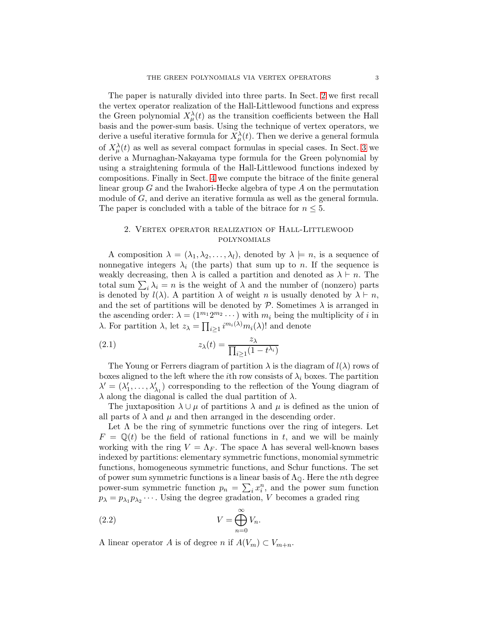The paper is naturally divided into three parts. In Sect. [2](#page-2-0) we first recall the vertex operator realization of the Hall-Littlewood functions and express the Green polynomial  $X^{\lambda}_{\mu}(t)$  as the transition coefficients between the Hall basis and the power-sum basis. Using the technique of vertex operators, we derive a useful iterative formula for  $X_{\mu}^{\lambda}(t)$ . Then we derive a general formula of  $X_{\mu}^{\lambda}(t)$  as well as several compact formulas in special cases. In Sect. [3](#page-10-0) we derive a Murnaghan-Nakayama type formula for the Green polynomial by using a straightening formula of the Hall-Littlewood functions indexed by compositions. Finally in Sect. [4](#page-13-0) we compute the bitrace of the finite general linear group  $G$  and the Iwahori-Hecke algebra of type  $A$  on the permutation module of G, and derive an iterative formula as well as the general formula. The paper is concluded with a table of the bitrace for  $n \leq 5$ .

# <span id="page-2-0"></span>2. Vertex operator realization of Hall-Littlewood polynomials

A composition  $\lambda = (\lambda_1, \lambda_2, \ldots, \lambda_l)$ , denoted by  $\lambda \models n$ , is a sequence of nonnegative integers  $\lambda_i$  (the parts) that sum up to n. If the sequence is weakly decreasing, then  $\lambda$  is called a partition and denoted as  $\lambda \vdash n$ . The total sum  $\sum_i \lambda_i = n$  is the weight of  $\lambda$  and the number of (nonzero) parts is denoted by  $l(\lambda)$ . A partition  $\lambda$  of weight n is usually denoted by  $\lambda \vdash n$ , and the set of partitions will be denoted by  $P$ . Sometimes  $\lambda$  is arranged in the ascending order:  $\lambda = (1^{m_1} 2^{m_2} \cdots)$  with  $m_i$  being the multiplicity of i in λ. For partition λ, let  $z_{\lambda} = \prod_{i \geq 1} i^{m_i(\lambda)} m_i(\lambda)!$  and denote

(2.1) 
$$
z_{\lambda}(t) = \frac{z_{\lambda}}{\prod_{i \geq 1} (1 - t^{\lambda_i})}
$$

The Young or Ferrers diagram of partition  $\lambda$  is the diagram of  $l(\lambda)$  rows of boxes aligned to the left where the *i*th row consists of  $\lambda_i$  boxes. The partition  $\lambda' = (\lambda'_1, \ldots, \lambda'_{\lambda_1})$  corresponding to the reflection of the Young diagram of  $\lambda$  along the diagonal is called the dual partition of  $\lambda$ .

The juxtaposition  $\lambda \cup \mu$  of partitions  $\lambda$  and  $\mu$  is defined as the union of all parts of  $\lambda$  and  $\mu$  and then arranged in the descending order.

Let  $\Lambda$  be the ring of symmetric functions over the ring of integers. Let  $F = \mathbb{Q}(t)$  be the field of rational functions in t, and we will be mainly working with the ring  $V = \Lambda_F$ . The space  $\Lambda$  has several well-known bases indexed by partitions: elementary symmetric functions, monomial symmetric functions, homogeneous symmetric functions, and Schur functions. The set of power sum symmetric functions is a linear basis of  $\Lambda_{\mathbb{Q}}$ . Here the *n*th degree power-sum symmetric function  $p_n = \sum_i x_i^n$ , and the power sum function  $p_{\lambda} = p_{\lambda_1} p_{\lambda_2} \cdots$ . Using the degree gradation, V becomes a graded ring

(2.2) 
$$
V = \bigoplus_{n=0}^{\infty} V_n.
$$

A linear operator A is of degree n if  $A(V_m) \subset V_{m+n}$ .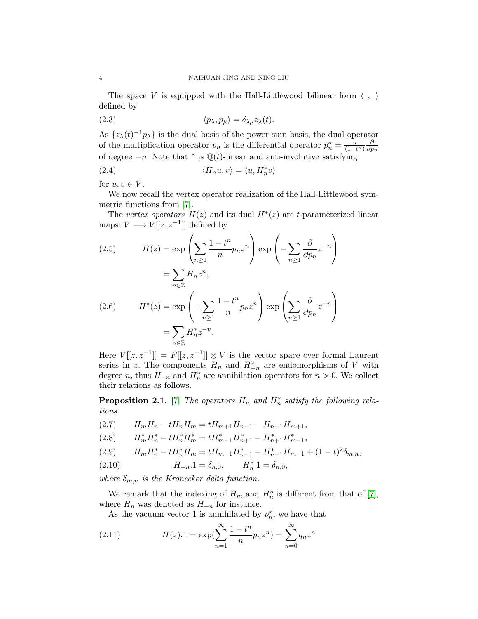The space V is equipped with the Hall-Littlewood bilinear form  $\langle , \rangle$ defined by

(2.3) 
$$
\langle p_{\lambda}, p_{\mu} \rangle = \delta_{\lambda \mu} z_{\lambda}(t).
$$

As  $\{z_{\lambda}(t)^{-1}p_{\lambda}\}\)$  is the dual basis of the power sum basis, the dual operator of the multiplication operator  $p_n$  is the differential operator  $p_n^* = \frac{n}{(1-t^n)} \frac{\partial}{\partial p}$  $\partial p_n$ of degree  $-n$ . Note that \* is  $\mathbb{Q}(t)$ -linear and anti-involutive satisfying

(2.4) 
$$
\langle H_n u, v \rangle = \langle u, H_n^* v \rangle
$$

for  $u, v \in V$ .

We now recall the vertex operator realization of the Hall-Littlewood symmetric functions from [\[7\]](#page-18-8).

The vertex operators  $H(z)$  and its dual  $H^*(z)$  are t-parameterized linear maps:  $V \longrightarrow V[[z, z^{-1}]]$  defined by

(2.5) 
$$
H(z) = \exp\left(\sum_{n\geq 1} \frac{1-t^n}{n} p_n z^n\right) \exp\left(-\sum_{n\geq 1} \frac{\partial}{\partial p_n} z^{-n}\right)
$$

$$
= \sum_{n\in \mathbb{Z}} H_n z^n,
$$
  
(2.6) 
$$
H^*(z) = \exp\left(-\sum_{n\geq 1} \frac{1-t^n}{n} p_n z^n\right) \exp\left(\sum_{n\geq 1} \frac{\partial}{\partial p_n} z^{-n}\right)
$$

$$
= \sum_{n\in \mathbb{Z}} H_n^* z^{-n}.
$$

Here  $V[[z, z^{-1}]] = F[[z, z^{-1}]] \otimes V$  is the vector space over formal Laurent series in z. The components  $H_n$  and  $H_{-n}^*$  are endomorphisms of V with degree n, thus  $H_{-n}$  and  $H_n^*$  are annihilation operators for  $n > 0$ . We collect their relations as follows.

**Proposition 2.1.** [\[7\]](#page-18-8) The operators  $H_n$  and  $H_n^*$  satisfy the following relations

<span id="page-3-1"></span>
$$
(2.7) \tH_mH_n - tH_nH_m = tH_{m+1}H_{n-1} - H_{n-1}H_{m+1},
$$

$$
(2.8) \qquad H_m^*H_n^*-tH_n^*H_m^*=tH_{m-1}^*H_{n+1}^*-H_{n+1}^*H_{m-1}^*,
$$

<span id="page-3-0"></span>
$$
(2.9) \qquad H_m H_n^* - t H_n^* H_m = t H_{m-1} H_{n-1}^* - H_{n-1}^* H_{m-1} + (1-t)^2 \delta_{m,n},
$$

(2.10) 
$$
H_{-n} \cdot 1 = \delta_{n,0}, \qquad H_n^* \cdot 1 = \delta_{n,0},
$$

where  $\delta_{m,n}$  is the Kronecker delta function.

We remark that the indexing of  $H_m$  and  $H_n^*$  is different from that of [\[7\]](#page-18-8), where  $H_n$  was denoted as  $H_{-n}$  for instance.

As the vacuum vector 1 is annihilated by  $p_n^*$ , we have that

(2.11) 
$$
H(z) \cdot 1 = \exp\left(\sum_{n=1}^{\infty} \frac{1 - t^n}{n} p_n z^n\right) = \sum_{n=0}^{\infty} q_n z^n
$$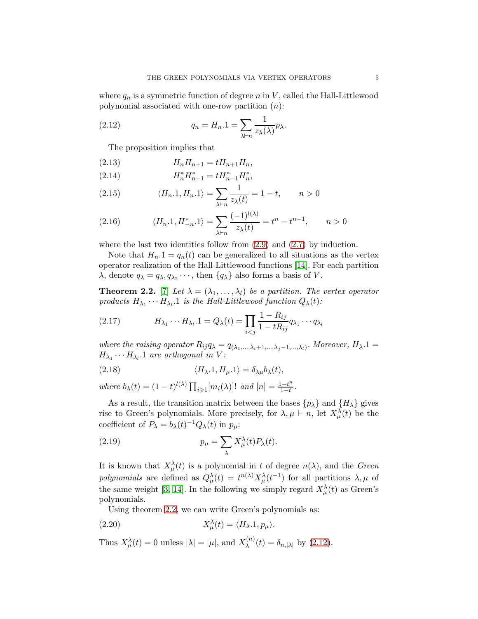where  $q_n$  is a symmetric function of degree n in V, called the Hall-Littlewood polynomial associated with one-row partition  $(n)$ :

(2.12) 
$$
q_n = H_n.1 = \sum_{\lambda \vdash n} \frac{1}{z_\lambda(\lambda)} p_\lambda.
$$

<span id="page-4-1"></span>The proposition implies that

(2.13) 
$$
H_n H_{n+1} = t H_{n+1} H_n,
$$

(2.14) 
$$
H_n^* H_{n-1}^* = t H_{n-1}^* H_n^*,
$$

(2.15) 
$$
\langle H_n.1, H_n.1 \rangle = \sum_{\lambda \vdash n} \frac{1}{z_{\lambda}(t)} = 1 - t, \qquad n > 0
$$

<span id="page-4-2"></span>(2.16) 
$$
\langle H_n.1, H_{-n}^* .1 \rangle = \sum_{\lambda \vdash n} \frac{(-1)^{l(\lambda)}}{z_{\lambda}(t)} = t^n - t^{n-1}, \qquad n > 0
$$

where the last two identities follow from  $(2.9)$  and  $(2.7)$  by induction.

Note that  $H_n.1 = q_n(t)$  can be generalized to all situations as the vertex operator realization of the Hall-Littlewood functions [\[14\]](#page-18-2). For each partition  $\lambda$ , denote  $q_{\lambda} = q_{\lambda_1} q_{\lambda_2} \cdots$ , then  $\{q_{\lambda}\}\$ also forms a basis of V.

<span id="page-4-0"></span>**Theorem 2.2.** [\[7\]](#page-18-8) Let  $\lambda = (\lambda_1, \ldots, \lambda_l)$  be a partition. The vertex operator products  $H_{\lambda_1} \cdots H_{\lambda_l}$ . 1 is the Hall-Littlewood function  $Q_{\lambda}(t)$ :

(2.17) 
$$
H_{\lambda_1} \cdots H_{\lambda_l} \cdot 1 = Q_{\lambda}(t) = \prod_{i < j} \frac{1 - R_{ij}}{1 - tR_{ij}} q_{\lambda_1} \cdots q_{\lambda_l}
$$

where the raising operator  $R_{ij}q_{\lambda} = q_{(\lambda_1,...,\lambda_i+1,...,\lambda_j-1,...,\lambda_l)}$ . Moreover,  $H_{\lambda}.1 =$  $H_{\lambda_1}\cdots H_{\lambda_l}$ . 1 are orthogonal in V:

<span id="page-4-3"></span>(2.18) 
$$
\langle H_{\lambda}.1, H_{\mu}.1 \rangle = \delta_{\lambda\mu}b_{\lambda}(t),
$$

where  $b_{\lambda}(t) = (1-t)^{l(\lambda)} \prod_{i \geqslant 1} [m_i(\lambda)]!$  and  $[n] = \frac{1-t^n}{1-t}$  $\frac{1-t^n}{1-t}$ .

As a result, the transition matrix between the bases  $\{p_{\lambda}\}\$  and  $\{H_{\lambda}\}\$  gives rise to Green's polynomials. More precisely, for  $\lambda, \mu \vdash n$ , let  $X^{\lambda}_{\mu}(t)$  be the coefficient of  $P_{\lambda} = b_{\lambda}(t)^{-1} Q_{\lambda}(t)$  in  $p_{\mu}$ :

(2.19) 
$$
p_{\mu} = \sum_{\lambda} X_{\mu}^{\lambda}(t) P_{\lambda}(t).
$$

It is known that  $X_{\mu}^{\lambda}(t)$  is a polynomial in t of degree  $n(\lambda)$ , and the Green polynomials are defined as  $Q^{\lambda}_{\mu}(t) = t^{n(\lambda)} X^{\lambda}_{\mu}(t^{-1})$  for all partitions  $\lambda, \mu$  of the same weight [\[3,](#page-18-0) [14\]](#page-18-2). In the following we simply regard  $X^{\lambda}_{\mu}(t)$  as Green's polynomials.

<span id="page-4-4"></span>Using theorem [2.2,](#page-4-0) we can write Green's polynomials as:

(2.20) 
$$
X_{\mu}^{\lambda}(t) = \langle H_{\lambda} . 1, p_{\mu} \rangle.
$$

Thus  $X_{\mu}^{\lambda}(t) = 0$  unless  $|\lambda| = |\mu|$ , and  $X_{\lambda}^{(n)}$  $\lambda^{(n)}(t) = \delta_{n,|\lambda|}$  by [\(2.12\)](#page-4-1).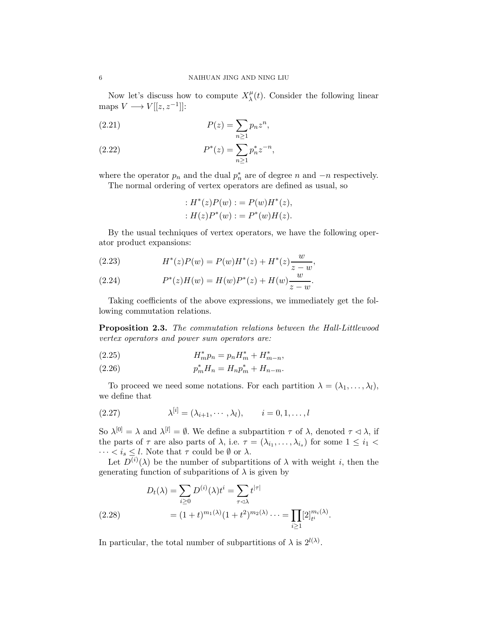Now let's discuss how to compute  $X_{\lambda}^{\mu}$  $\lambda(t)$ . Consider the following linear maps  $V \longrightarrow V[[z, z^{-1}]]$ :

$$
P(z) = \sum_{n\geq 1} p_n z^n,
$$

(2.22) 
$$
P^*(z) = \sum_{n\geq 1} p_n^* z^{-n},
$$

where the operator  $p_n$  and the dual  $p_n^*$  are of degree n and  $-n$  respectively.

The normal ordering of vertex operators are defined as usual, so

: 
$$
H^*(z)P(w) := P(w)H^*(z),
$$
  
:  $H(z)P^*(w) := P^*(w)H(z).$ 

By the usual techniques of vertex operators, we have the following operator product expansions:

<span id="page-5-1"></span>(2.23) 
$$
H^*(z)P(w) = P(w)H^*(z) + H^*(z)\frac{w}{z-w},
$$

<span id="page-5-2"></span>(2.24) 
$$
P^*(z)H(w) = H(w)P^*(z) + H(w)\frac{w}{z-w}.
$$

Taking coefficients of the above expressions, we immediately get the following commutation relations.

<span id="page-5-0"></span>Proposition 2.3. The commutation relations between the Hall-Littlewood vertex operators and power sum operators are:

(2.25) 
$$
H_m^* p_n = p_n H_m^* + H_{m-n}^*,
$$

(2.26) 
$$
p_m^* H_n = H_n p_m^* + H_{n-m}.
$$

To proceed we need some notations. For each partition  $\lambda = (\lambda_1, \ldots, \lambda_l)$ , we define that

(2.27) 
$$
\lambda^{[i]} = (\lambda_{i+1}, \cdots, \lambda_l), \qquad i = 0, 1, \ldots, l
$$

So  $\lambda^{[0]} = \lambda$  and  $\lambda^{[l]} = \emptyset$ . We define a subpartition  $\tau$  of  $\lambda$ , denoted  $\tau \leq \lambda$ , if the parts of  $\tau$  are also parts of  $\lambda$ , i.e.  $\tau = (\lambda_{i_1}, \dots, \lambda_{i_s})$  for some  $1 \leq i_1 <$  $\cdots < i_s \leq l$ . Note that  $\tau$  could be  $\emptyset$  or  $\lambda$ .

Let  $D^{(i)}(\lambda)$  be the number of subpartitions of  $\lambda$  with weight i, then the generating function of subparitions of  $\lambda$  is given by

$$
D_t(\lambda) = \sum_{i \ge 0} D^{(i)}(\lambda) t^i = \sum_{\tau \le \lambda} t^{|\tau|}
$$
  
(2.28) 
$$
= (1+t)^{m_1(\lambda)} (1+t^2)^{m_2(\lambda)} \cdots = \prod_{i \ge 1} [2]_{t^i}^{m_i(\lambda)}.
$$

In particular, the total number of subpartitions of  $\lambda$  is  $2^{l(\lambda)}$ .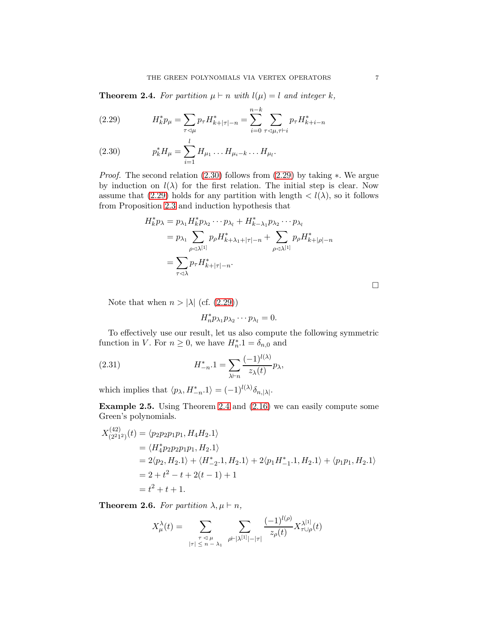<span id="page-6-2"></span>**Theorem 2.4.** For partition  $\mu \vdash n$  with  $l(\mu) = l$  and integer k,

<span id="page-6-1"></span>(2.29) 
$$
H_k^* p_\mu = \sum_{\tau \prec \mu} p_\tau H_{k+|\tau|-n}^* = \sum_{i=0}^{n-k} \sum_{\tau \prec \mu, \tau \vdash i} p_\tau H_{k+i-n}^*
$$

<span id="page-6-0"></span>(2.30) 
$$
p_k^* H_\mu = \sum_{i=1}^{\infty} H_{\mu_1} \dots H_{\mu_i - k} \dots H_{\mu_l}.
$$

Proof. The second relation [\(2.30\)](#page-6-0) follows from [\(2.29\)](#page-6-1) by taking ∗. We argue by induction on  $l(\lambda)$  for the first relation. The initial step is clear. Now assume that [\(2.29\)](#page-6-1) holds for any partition with length  $\langle l(\lambda), \rangle$  so it follows from Proposition [2.3](#page-5-0) and induction hypothesis that

$$
H_k^* p_\lambda = p_{\lambda_1} H_k^* p_{\lambda_2} \cdots p_{\lambda_l} + H_{k-\lambda_1}^* p_{\lambda_2} \cdots p_{\lambda_l}
$$
  
=  $p_{\lambda_1} \sum_{\rho \triangleleft \lambda^{[1]}} p_\rho H_{k+\lambda_1+|\tau|-n}^* + \sum_{\rho \triangleleft \lambda^{[1]}} p_\rho H_{k+|\rho|-n}^*$   
=  $\sum_{\tau \triangleleft \lambda} p_\tau H_{k+|\tau|-n}^*.$ 

 $\Box$ 

Note that when  $n > |\lambda|$  (cf. [\(2.29\)](#page-6-1))

<span id="page-6-3"></span>
$$
H_n^* p_{\lambda_1} p_{\lambda_2} \cdots p_{\lambda_l} = 0.
$$

To effectively use our result, let us also compute the following symmetric function in V. For  $n \geq 0$ , we have  $H_n^*$   $= \delta_{n,0}$  and

(2.31) 
$$
H_{-n}^* \cdot 1 = \sum_{\lambda \vdash n} \frac{(-1)^{l(\lambda)}}{z_{\lambda}(t)} p_{\lambda},
$$

which implies that  $\langle p_{\lambda}, H_{-n}^* . 1 \rangle = (-1)^{l(\lambda)} \delta_{n, |\lambda|}$ .

Example 2.5. Using Theorem [2.4](#page-6-2) and [\(2.16\)](#page-4-2) we can easily compute some Green's polynomials.

$$
X_{(2^21^2)}^{(42)}(t) = \langle p_2 p_2 p_1 p_1, H_4 H_2.1 \rangle
$$
  
=  $\langle H_4^* p_2 p_2 p_1 p_1, H_2.1 \rangle$   
=  $2 \langle p_2, H_2.1 \rangle + \langle H_{-2}^* . 1, H_2.1 \rangle + 2 \langle p_1 H_{-1}^* . 1, H_2.1 \rangle + \langle p_1 p_1, H_2.1 \rangle$   
=  $2 + t^2 - t + 2(t - 1) + 1$   
=  $t^2 + t + 1$ .

**Theorem 2.6.** For partition  $\lambda, \mu \vdash n$ ,

$$
X_{\mu}^{\lambda}(t) = \sum_{\substack{\tau \leq \mu \\ |\tau| \leq n - \lambda_1}} \sum_{\rho \vdash |\lambda^{[1]}| - |\tau|} \frac{(-1)^{l(\rho)}}{z_{\rho}(t)} X_{\tau \cup \rho}^{\lambda^{[1]}}(t)
$$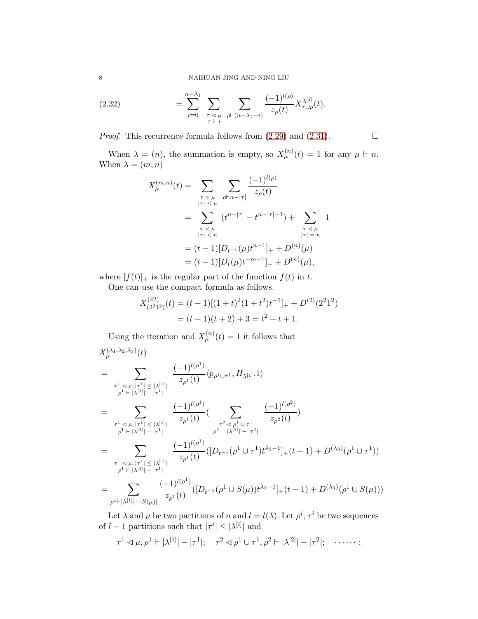<span id="page-7-0"></span>(2.32) 
$$
= \sum_{i=0}^{n-\lambda_1} \sum_{\substack{\tau \prec \mu \\ \tau \vdash i}} \sum_{\rho \vdash (n-\lambda_1-i)} \frac{(-1)^{l(\rho)}}{z_{\rho}(t)} X_{\tau \cup \rho}^{\lambda^{[1]}}(t).
$$

*Proof.* This recurrence formula follows from  $(2.29)$  and  $(2.31)$ .

When  $\lambda = (n)$ , the summation is empty, so  $X_{\mu}^{(n)}(t) = 1$  for any  $\mu \vdash n$ . When  $\lambda = (m, n)$ 

$$
X_{\mu}^{(m,n)}(t) = \sum_{\substack{\tau \preceq \mu \\ |\tau| \leq n}} \sum_{\substack{\rho \vdash n - |\tau| \\ \rho \vdash n - |\tau| - t}} \frac{(-1)^{l(\rho)}}{z_{\rho}(t)}
$$
  

$$
= \sum_{\substack{\tau \preceq \mu \\ |\tau| < n}} (t^{n - |\tau|} - t^{n - |\tau| - 1}) + \sum_{\substack{\tau \preceq \mu \\ |\tau| = n}} 1
$$
  

$$
= (t - 1)[D_{t-1}(\mu)t^{n-1}]_{+} + D^{(n)}(\mu)
$$
  

$$
= (t - 1)[D_{t}(\mu)t^{-m-1}]_{+} + D^{(n)}(\mu),
$$

where  $[f(t)]_+$  is the regular part of the function  $f(t)$  in t.

One can use the compact formula as follows.

$$
X_{(2^21^2)}^{(42)}(t) = (t-1)[(1+t)^2(1+t^2)t^{-5}]_+ + D^{(2)}(2^21^2)
$$
  
=  $(t-1)(t+2) + 3 = t^2 + t + 1.$ 

Using the iteration and  $X_{\mu}^{(n)}(t) = 1$  it follows that  $X_\mu^{(\lambda_1,\lambda_2,\lambda_3)}(t)$ 

$$
= \sum_{\substack{\tau^1 \triangleleft \mu, |\tau^1| \leq |\lambda^{[1]}| \\ \rho^1 \vdash |\lambda^{[1]}| - |\tau^1|}} \frac{(-1)^{l(\rho^1)}}{z_{\rho^1}(t)} \langle p_{\rho^1 \cup \tau^1}, H_{\lambda^{[1]}} \cdot 1 \rangle
$$
  
\n
$$
= \sum_{\substack{\tau^1 \triangleleft \mu, |\tau^1| \leq |\lambda^{[1]}| \\ \rho^1 \vdash |\lambda^{[1]}| - |\tau^1|}} \frac{(-1)^{l(\rho^1)}}{z_{\rho^1}(t)} \cdot \sum_{\substack{\tau^2 \triangleleft \rho^1 \cup \tau^1 \\ \rho^2 \vdash |\lambda^{[2]}| - |\tau^2|}} \frac{(-1)^{l(\rho^2)}}{z_{\rho^2}(t)} \rangle
$$
  
\n
$$
= \sum_{\substack{\tau^1 \triangleleft \mu, |\tau^1| \leq |\lambda^{[1]}| \\ \rho^1 \vdash |\lambda^{[1]}| - |\tau^1|}} \frac{(-1)^{l(\rho^1)}}{z_{\rho^1}(t)} \cdot \left( [D_{t^{-1}}(\rho^1 \cup \tau^1)t^{\lambda_3 - 1}]_+(t - 1) + D^{(\lambda_3)}(\rho^1 \cup \tau^1) \right)
$$
  
\n
$$
= \sum_{\substack{\tau^1 \triangleleft \mu, |\tau^1| \leq |\lambda^{[1]} \\ \rho^1 \vdash |\lambda^{[1]}| - |\tau^1|}} \frac{(-1)^{l(\rho^1)}}{z_{\rho^1}(t)} \cdot \left( [D_{t^{-1}}(\rho^1 \cup S(\mu))t^{\lambda_3 - 1}]_+(t - 1) + D^{(\lambda_3)}(\rho^1 \cup S(\mu)) \right)
$$

Let  $\lambda$  and  $\mu$  be two partitions of n and  $l = l(\lambda)$ . Let  $\rho^i$ ,  $\tau^i$  be two sequences of  $l-1$  partitions such that  $|\tau^i| \leq |\lambda^{[i]}|$  and

$$
\tau^1 \lhd \mu, \rho^1 \vdash |\lambda^{[1]}| - |\tau^1|; \quad \tau^2 \lhd \rho^1 \cup \tau^1, \rho^2 \vdash |\lambda^{[2]}| - |\tau^2|; \quad \cdots \cdots ;
$$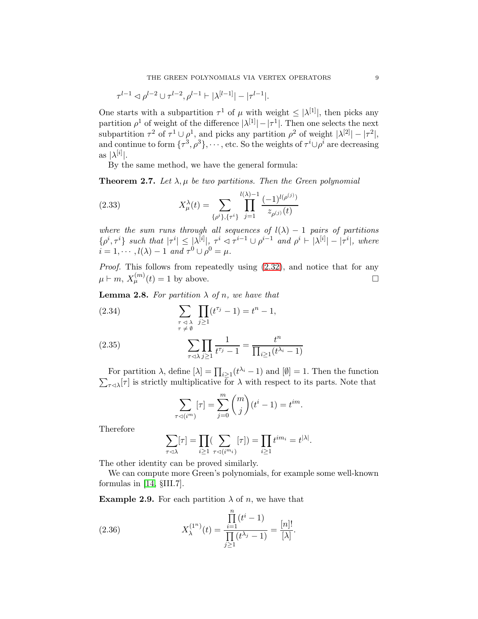$$
\tau^{l-1} \lhd \rho^{l-2} \cup \tau^{l-2}, \rho^{l-1} \vdash |\lambda^{[l-1]}| - |\tau^{l-1}|.
$$

One starts with a subpartition  $\tau^1$  of  $\mu$  with weight  $\leq |\lambda^{[1]}|$ , then picks any partition  $\rho^1$  of weight of the difference  $|\lambda^{[1]}| - |\tau^1|$ . Then one selects the next subpartition  $\tau^2$  of  $\tau^1 \cup \rho^1$ , and picks any partition  $\rho^2$  of weight  $|\lambda^{[2]}| - |\tau^2|$ , and continue to form  $\{\tau^3, \rho^3\}, \cdots$ , etc. So the weights of  $\tau^i \cup \rho^i$  are decreasing as  $|\lambda^{[i]}|.$ 

By the same method, we have the general formula:

<span id="page-8-0"></span>**Theorem 2.7.** Let  $\lambda, \mu$  be two partitions. Then the Green polynomial

(2.33) 
$$
X_{\mu}^{\lambda}(t) = \sum_{\{\rho^{i}\},\{\tau^{i}\}} \prod_{j=1}^{l(\lambda)-1} \frac{(-1)^{l(\rho^{(j)})}}{z_{\rho^{(j)}}(t)}
$$

where the sum runs through all sequences of  $l(\lambda) - 1$  pairs of partitions  $\{\rho^i, \tau^i\}$  such that  $|\tau^i| \leq |\lambda^{[i]}|$ ,  $\tau^i \lhd \tau^{i-1} \cup \rho^{i-1}$  and  $\rho^i \vdash |\lambda^{[i]}| - |\tau^i|$ , where  $i = 1, \cdots, l(\lambda) - 1$  and  $\tau^0 \cup \rho^0 = \mu$ .

Proof. This follows from repeatedly using  $(2.32)$ , and notice that for any  $\mu \vdash m, X_{\mu}^{(m)}(t) = 1$  by above.

<span id="page-8-1"></span>**Lemma 2.8.** For partition  $\lambda$  of n, we have that

<span id="page-8-3"></span>(2.34)  
\n
$$
\sum_{\substack{\tau \leq \lambda \\ \tau \neq \emptyset}} \prod_{j \geq 1} (t^{\tau_j} - 1) = t^n - 1,
$$
\n
$$
\sum_{\substack{\tau \leq \lambda \\ \tau \leq \lambda}} \prod_{j \geq 1} \frac{1}{t^{\tau_j} - 1} = \frac{t^n}{\prod_{i \geq 1} (t^{\lambda_i} - 1)}
$$

<span id="page-8-2"></span>For partition  $\lambda$ , define  $[\lambda] = \prod_{i \geq 1} (t^{\lambda_i} - 1)$  and  $[\emptyset] = 1$ . Then the function  $\sum_{\tau \lhd \lambda} [\tau]$  is strictly multiplicative for  $\lambda$  with respect to its parts. Note that

$$
\sum_{\tau \lhd (i^m)} [\tau] = \sum_{j=0}^m \binom{m}{j} (t^i - 1) = t^{im}.
$$

Therefore

$$
\sum_{\tau \lhd \lambda} [\tau] = \prod_{i \geq 1} (\sum_{\tau \lhd (i^{m_i})} [\tau]) = \prod_{i \geq 1} t^{i m_i} = t^{|\lambda|}.
$$

The other identity can be proved similarly.

We can compute more Green's polynomials, for example some well-known formulas in [\[14,](#page-18-2) §III.7].

**Example 2.9.** For each partition  $\lambda$  of n, we have that

<span id="page-8-4"></span>(2.36) 
$$
X_{\lambda}^{(1^n)}(t) = \frac{\prod_{i=1}^{n} (t^i - 1)}{\prod_{j\geq 1} (t^{\lambda_j} - 1)} = \frac{[n]!}{[\lambda]}.
$$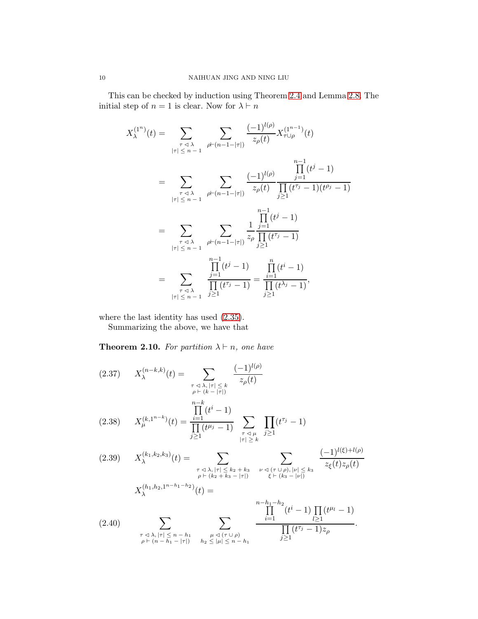This can be checked by induction using Theorem [2.4](#page-6-2) and Lemma [2.8.](#page-8-1) The initial step of  $n = 1$  is clear. Now for  $\lambda \vdash n$ 

$$
X_{\lambda}^{(1^n)}(t) = \sum_{\substack{\tau \prec \lambda \\ |\tau| \leq n-1}} \sum_{\rho \vdash (n-1-|\tau|)} \frac{(-1)^{l(\rho)}}{z_{\rho}(t)} X_{\tau \cup \rho}^{(1^{n-1})}(t)
$$
  
\n
$$
= \sum_{\substack{\tau \prec \lambda \\ |\tau| \leq n-1}} \sum_{\rho \vdash (n-1-|\tau|)} \frac{(-1)^{l(\rho)}}{z_{\rho}(t)} \frac{\prod_{j=1}^{n-1} (t^j - 1)}{\prod_{j\geq 1} (t^{\tau_j} - 1)(t^{\rho_j} - 1)}
$$
  
\n
$$
= \sum_{\substack{\tau \prec \lambda \\ |\tau| \leq n-1}} \sum_{\rho \vdash (n-1-|\tau|)} \frac{1}{z_{\rho}} \frac{\prod_{j=1}^{n-1} (t^j - 1)}{\prod_{j\geq 1} (t^{\tau_j} - 1)}
$$
  
\n
$$
= \sum_{\substack{\tau \prec \lambda \\ |\tau| \leq n-1}} \frac{\prod_{j=1}^{n-1} (t^j - 1)}{\prod_{j\geq 1} (t^{\tau_j} - 1)} = \frac{\prod_{i=1}^{n} (t^i - 1)}{\prod_{j\geq 1} (t^{\lambda_j} - 1)},
$$

where the last identity has used [\(2.35\)](#page-8-2).

Summarizing the above, we have that

**Theorem 2.10.** For partition  $\lambda \vdash n$ , one have

<span id="page-9-1"></span><span id="page-9-0"></span>
$$
(2.37) \quad X_{\lambda}^{(n-k,k)}(t) = \sum_{\substack{\tau \leq \lambda, |\tau| \leq k \\ \rho \vdash (k-|\tau|) \\ \prod_{j\geq 1}^{n-k} (t^{j-1})}} \frac{(-1)^{l(\rho)}}{z_{\rho}(t)}
$$
\n
$$
(2.38) \quad X_{\mu}^{(k,1^{n-k})}(t) = \frac{\prod_{i=1}^{n-k} (t^{i}-1)}{\prod_{j\geq 1} (t^{\mu_{j}}-1)} \sum_{\substack{\tau \leq \mu \\ |\tau| \geq k}} \prod_{j\geq 1} (t^{\tau_{j}}-1)
$$
\n
$$
(2.39) \quad X_{\lambda}^{(k_{1},k_{2},k_{3})}(t) = \sum_{\substack{\tau \leq \lambda, |\tau| \leq k_{2}+k_{3} \\ \rho \vdash (k_{2}+k_{3}-|\tau|) \\ \rho \vdash (k_{2}+k_{3}-|\tau|)}} \sum_{\substack{\nu \leq (\tau \cup \rho), |\nu| \leq k_{3} \\ \xi \vdash (k_{3}-|\nu|) \\ \prod_{i\geq 1}} (t^{\mu_{i}}-1) \prod_{j\geq 1} (t^{\mu_{j}}-1)
$$

$$
(2.40) \qquad \sum_{\substack{\tau \vartriangleleft \lambda, |\tau| \leq n - h_1 \\ \rho \vdash (n - h_1 - |\tau|) \\}}} \qquad \sum_{\substack{\mu \vartriangleleft(\tau \cup \rho) \\ h_2 \leq |\mu| \leq n - h_1}} \frac{i=1}{\prod_{j\geq 1} (t^{\tau_j} - 1) z_{\rho}}.
$$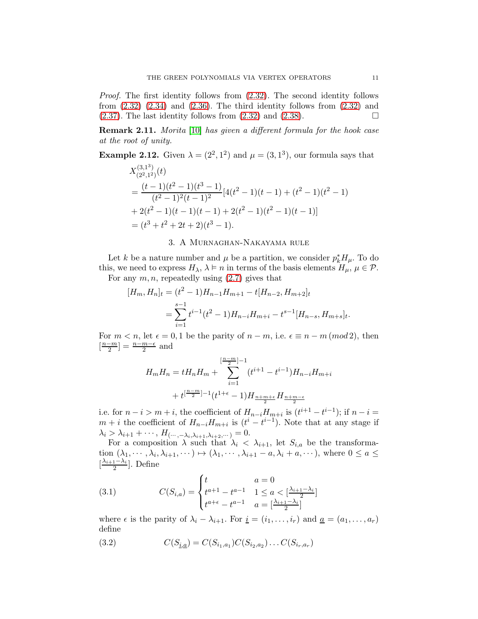Proof. The first identity follows from [\(2.32\)](#page-7-0). The second identity follows from  $(2.32)$   $(2.34)$  and  $(2.36)$ . The third identity follows from  $(2.32)$  and  $(2.37)$ . The last identity follows from  $(2.32)$  and  $(2.38)$ .

Remark 2.11. Morita [\[10\]](#page-18-6) has given a different formula for the hook case at the root of unity.

**Example 2.12.** Given  $\lambda = (2^2, 1^2)$  and  $\mu = (3, 1^3)$ , our formula says that

$$
X_{(2^2,1^2)}^{(3,1^3)}(t)
$$
  
= 
$$
\frac{(t-1)(t^2-1)(t^3-1)}{(t^2-1)^2(t-1)^2} [4(t^2-1)(t-1) + (t^2-1)(t^2-1) + 2(t^2-1)(t-1)(t-1) + 2(t^2-1)(t^2-1)(t-1)]
$$
  
= 
$$
(t^3 + t^2 + 2t + 2)(t^3 - 1).
$$

### 3. A Murnaghan-Nakayama rule

<span id="page-10-0"></span>Let k be a nature number and  $\mu$  be a partition, we consider  $p_k^* H_{\mu}$ . To do this, we need to express  $H_{\lambda}, \lambda \models n$  in terms of the basis elements  $H_{\mu}, \mu \in \mathcal{P}$ . For any  $m, n$ , repeatedly using  $(2.7)$  gives that

$$
[H_m, H_n]_t = (t^2 - 1)H_{n-1}H_{m+1} - t[H_{n-2}, H_{m+2}]_t
$$
  
= 
$$
\sum_{i=1}^{s-1} t^{i-1}(t^2 - 1)H_{n-i}H_{m+i} - t^{s-1}[H_{n-s}, H_{m+s}]_t.
$$

For  $m < n$ , let  $\epsilon = 0, 1$  be the parity of  $n - m$ , i.e.  $\epsilon \equiv n - m \pmod{2}$ , then  $\left[\frac{n-m}{2}\right]$  $\left[\frac{-m}{2}\right] = \frac{n-m-\epsilon}{2}$  and

$$
H_m H_n = t H_n H_m + \sum_{i=1}^{\left[\frac{n-m}{2}\right]-1} (t^{i+1} - t^{i-1}) H_{n-i} H_{m+i}
$$

$$
+ t^{\left[\frac{n-m}{2}\right]-1} (t^{1+\epsilon}-1) H_{\frac{n+m+\epsilon}{2}} H_{\frac{n+m-\epsilon}{2}}
$$

i.e. for  $n-i > m+i$ , the coefficient of  $H_{n-i}H_{m+i}$  is  $(t^{i+1} - t^{i-1})$ ; if  $n-i=$  $m + i$  the coefficient of  $H_{n-i}H_{m+i}$  is  $(t^i - t^{i-1})$ . Note that at any stage if  $\lambda_i > \lambda_{i+1} + \cdots$ ,  $H_{(\cdots, -\lambda_i, \lambda_{i+1}, \lambda_{i+2}, \cdots)} = 0.$ 

For a composition  $\lambda$  such that  $\lambda_i < \lambda_{i+1}$ , let  $S_{i,a}$  be the transformation  $(\lambda_1, \dots, \lambda_i, \lambda_{i+1}, \dots) \mapsto (\lambda_1, \dots, \lambda_{i+1} - a, \lambda_i + a, \dots)$ , where  $0 \le a \le$  $\left[\frac{\lambda_{i+1}-\lambda_i}{2}\right]$  $\frac{1-\lambda_i}{2}$ . Define

<span id="page-10-1"></span>(3.1) 
$$
C(S_{i,a}) = \begin{cases} t & a = 0\\ t^{a+1} - t^{a-1} & 1 \le a < \left[\frac{\lambda_{i+1} - \lambda_i}{2}\right] \\ t^{a+\epsilon} - t^{a-1} & a = \left[\frac{\lambda_{i+1} - \lambda_i}{2}\right] \end{cases}
$$

where  $\epsilon$  is the parity of  $\lambda_i - \lambda_{i+1}$ . For  $\underline{i} = (i_1, \ldots, i_r)$  and  $\underline{a} = (a_1, \ldots, a_r)$ define

(3.2) 
$$
C(S_{\underline{i},\underline{a}}) = C(S_{i_1,a_1})C(S_{i_2,a_2})\dots C(S_{i_r,a_r})
$$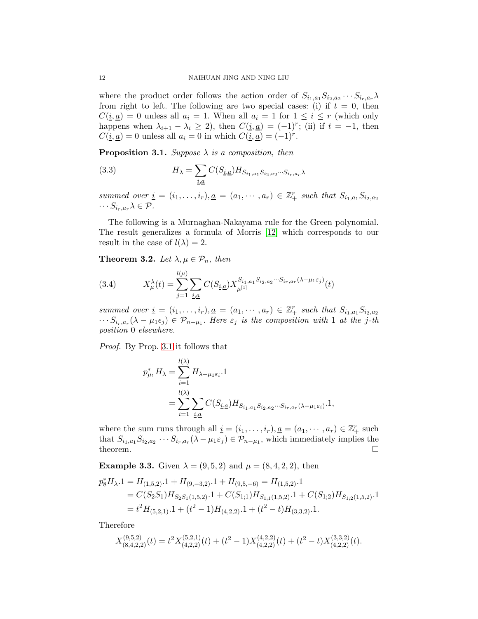where the product order follows the action order of  $S_{i_1,a_1}S_{i_2,a_2}\cdots S_{i_r,a_r}\lambda$ from right to left. The following are two special cases: (i) if  $t = 0$ , then  $C(\underline{i}, \underline{a}) = 0$  unless all  $a_i = 1$ . When all  $a_i = 1$  for  $1 \leq i \leq r$  (which only happens when  $\lambda_{i+1} - \lambda_i \geq 2$ , then  $C(\underline{i}, \underline{a}) = (-1)^r$ ; (ii) if  $t = -1$ , then  $C(\underline{i}, \underline{a}) = 0$  unless all  $a_i = 0$  in which  $C(\underline{i}, \underline{a}) = (-1)^r$ .

<span id="page-11-0"></span>**Proposition 3.1.** Suppose  $\lambda$  is a composition, then

<span id="page-11-1"></span>(3.3) 
$$
H_{\lambda} = \sum_{\underline{i}, \underline{a}} C(S_{\underline{i}, \underline{a}}) H_{S_{i_1, a_1} S_{i_2, a_2} \cdots S_{i_r, a_r} \lambda}
$$

summed over  $\underline{i} = (i_1, \ldots, i_r), \underline{a} = (a_1, \cdots, a_r) \in \mathbb{Z}_+^r$  such that  $S_{i_1, a_1} S_{i_2, a_2}$  $\cdots S_{i_r,a_r}\lambda \in \mathcal{P}.$ 

The following is a Murnaghan-Nakayama rule for the Green polynomial. The result generalizes a formula of Morris [\[12\]](#page-18-11) which corresponds to our result in the case of  $l(\lambda) = 2$ .

**Theorem 3.2.** Let  $\lambda, \mu \in \mathcal{P}_n$ , then

(3.4) 
$$
X^{\lambda}_{\mu}(t) = \sum_{j=1}^{l(\mu)} \sum_{\underline{i}, \underline{a}} C(S_{\underline{i}, \underline{a}}) X^{S_{i_1, a_1} S_{i_2, a_2} \cdots S_{i_r, a_r} (\lambda - \mu_1 \varepsilon_j)}_{\mu^{[1]}}(t)
$$

summed over  $\underline{i} = (i_1, \ldots, i_r), \underline{a} = (a_1, \cdots, a_r) \in \mathbb{Z}_+^r$  such that  $S_{i_1, a_1} S_{i_2, a_2}$  $\cdots S_{i_r,a_r}(\lambda-\mu_1\epsilon_j) \in \mathcal{P}_{n-\mu_1}$ . Here  $\epsilon_j$  is the composition with 1 at the j-th position 0 elsewhere.

Proof. By Prop. [3.1](#page-11-0) it follows that

$$
p_{\mu_1}^* H_{\lambda} = \sum_{i=1}^{l(\lambda)} H_{\lambda - \mu_1 \varepsilon_i} .1
$$
  
= 
$$
\sum_{i=1}^{l(\lambda)} \sum_{\underline{i}, \underline{a}} C(S_{\underline{i}, \underline{a}}) H_{S_{i_1, a_1} S_{i_2, a_2} \cdots S_{i_r, a_r} (\lambda - \mu_1 \varepsilon_i)} .1,
$$

where the sum runs through all  $\underline{i} = (i_1, \ldots, i_r), \underline{a} = (a_1, \cdots, a_r) \in \mathbb{Z}_+^r$  such that  $S_{i_1,a_1}S_{i_2,a_2}\cdots S_{i_r,a_r}(\lambda-\mu_1\varepsilon_j)\in\mathcal{P}_{n-\mu_1}$ , which immediately implies the theorem.  $\Box$ 

**Example 3.3.** Given  $\lambda = (9, 5, 2)$  and  $\mu = (8, 4, 2, 2)$ , then

$$
p_{8}^{*}H_{\lambda}.1 = H_{(1,5,2)} \cdot 1 + H_{(9,-3,2)} \cdot 1 + H_{(9,5,-6)} = H_{(1,5,2)} \cdot 1
$$
  
=  $C(S_2S_1)H_{S_2S_1(1,5,2)} \cdot 1 + C(S_{1;1})H_{S_{1;1}(1,5,2)} \cdot 1 + C(S_{1;2})H_{S_{1;2}(1,5,2)} \cdot 1$   
=  $t^2H_{(5,2,1)} \cdot 1 + (t^2 - 1)H_{(4,2,2)} \cdot 1 + (t^2 - t)H_{(3,3,2)} \cdot 1.$ 

Therefore

$$
X_{(8,4,2,2)}^{(9,5,2)}(t)=t^2 X_{(4,2,2)}^{(5,2,1)}(t)+(t^2-1)X_{(4,2,2)}^{(4,2,2)}(t)+(t^2-t)X_{(4,2,2)}^{(3,3,2)}(t).
$$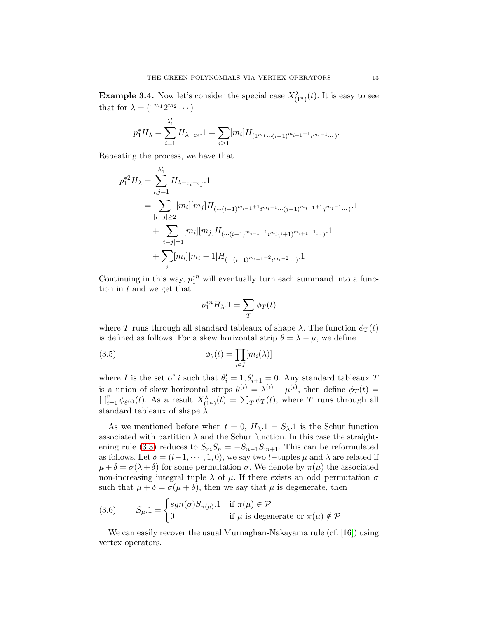**Example 3.4.** Now let's consider the special case  $X^{\lambda}_{(1^n)}(t)$ . It is easy to see that for  $\lambda = (1^{m_1} 2^{m_2} \cdots)$ 

$$
p_1^*H_\lambda=\sum_{i=1}^{\lambda_1'}H_{\lambda-\varepsilon_i}.1=\sum_{i\geq 1}[m_i]H_{(1^{m_1}\cdots (i-1)^{m_{i-1}+1}i^{m_i-1}\cdots)}.1
$$

Repeating the process, we have that

$$
p_1^{*2}H_{\lambda} = \sum_{i,j=1}^{\lambda'_1} H_{\lambda-\varepsilon_i-\varepsilon_j} \cdot 1
$$
  
= 
$$
\sum_{|i-j| \ge 2} [m_i][m_j]H_{(\cdots(i-1)^{m_{i-1}+1}i^{m_i-1}\cdots(j-1)^{m_{j-1}+1}j^{m_j-1}\cdots)} \cdot 1
$$
  
+ 
$$
\sum_{|i-j|=1} [m_i][m_j]H_{(\cdots(i-1)^{m_{i-1}+1}i^{m_i}(i+1)^{m_{i+1}-1}\cdots)} \cdot 1
$$
  
+ 
$$
\sum_{i} [m_i][m_i-1]H_{(\cdots(i-1)^{m_{i-1}+2}i^{m_i-2}\cdots)} \cdot 1
$$

Continuing in this way,  $p_1^{*n}$  will eventually turn each summand into a function in t and we get that

$$
p_1^{*n}H_{\lambda}.1 = \sum_T \phi_T(t)
$$

where T runs through all standard tableaux of shape  $\lambda$ . The function  $\phi_T(t)$ is defined as follows. For a skew horizontal strip  $\theta = \lambda - \mu$ , we define

(3.5) 
$$
\phi_{\theta}(t) = \prod_{i \in I} [m_i(\lambda)]
$$

where I is the set of i such that  $\theta'_i = 1, \theta'_{i+1} = 0$ . Any standard tableaux T is a union of skew horizontal strips  $\theta^{(i)} = \lambda^{(i)} - \mu^{(i)}$ , then define  $\phi_T(t) =$  $\prod_{i=1}^r \phi_{\theta^{(i)}}(t)$ . As a result  $X^{\lambda}_{(1^n)}(t) = \sum_T \phi_T(t)$ , where T runs through all standard tableaux of shape  $\lambda$ 

As we mentioned before when  $t = 0$ ,  $H_{\lambda} \cdot 1 = S_{\lambda} \cdot 1$  is the Schur function associated with partition  $\lambda$  and the Schur function. In this case the straight-ening rule [\(3.3\)](#page-11-1) reduces to  $S_mS_n = -S_{n-1}S_{m+1}$ . This can be reformulated as follows. Let  $\delta = (l-1, \dots, 1, 0)$ , we say two l–tuples  $\mu$  and  $\lambda$  are related if  $\mu + \delta = \sigma(\lambda + \delta)$  for some permutation  $\sigma$ . We denote by  $\pi(\mu)$  the associated non-increasing integral tuple  $\lambda$  of  $\mu$ . If there exists an odd permutation  $\sigma$ such that  $\mu + \delta = \sigma(\mu + \delta)$ , then we say that  $\mu$  is degenerate, then

(3.6) 
$$
S_{\mu}.1 = \begin{cases} sgn(\sigma)S_{\pi(\mu)}.1 & \text{if } \pi(\mu) \in \mathcal{P} \\ 0 & \text{if } \mu \text{ is degenerate or } \pi(\mu) \notin \mathcal{P} \end{cases}
$$

We can easily recover the usual Murnaghan-Nakayama rule (cf. [\[16\]](#page-18-12)) using vertex operators.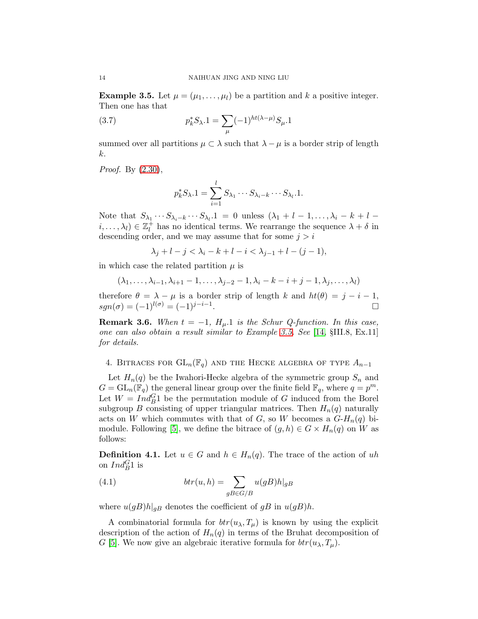<span id="page-13-1"></span>**Example 3.5.** Let  $\mu = (\mu_1, \ldots, \mu_l)$  be a partition and k a positive integer. Then one has that

(3.7) 
$$
p_k^* S_{\lambda} . 1 = \sum_{\mu} (-1)^{ht(\lambda - \mu)} S_{\mu} . 1
$$

summed over all partitions  $\mu \subset \lambda$  such that  $\lambda - \mu$  is a border strip of length k.

*Proof.* By  $(2.30)$ ,

$$
p_k^* S_{\lambda} . 1 = \sum_{i=1}^l S_{\lambda_1} \cdots S_{\lambda_i - k} \cdots S_{\lambda_l} . 1.
$$

Note that  $S_{\lambda_1} \cdots S_{\lambda_i-k} \cdots S_{\lambda_l}$ ,  $1 = 0$  unless  $(\lambda_1 + l - 1, \ldots, \lambda_i - k + l - 1)$  $(i, \ldots, \lambda_l) \in \mathbb{Z}_l^+$ <sup>+</sup> has no identical terms. We rearrange the sequence  $\lambda + \delta$  in descending order, and we may assume that for some  $j > i$ 

$$
\lambda_j + l - j < \lambda_i - k + l - i < \lambda_{j-1} + l - (j - 1),
$$

in which case the related partition  $\mu$  is

$$
(\lambda_1,\ldots,\lambda_{i-1},\lambda_{i+1}-1,\ldots,\lambda_{j-2}-1,\lambda_i-k-i+j-1,\lambda_j,\ldots,\lambda_l)
$$

therefore  $\theta = \lambda - \mu$  is a border strip of length k and  $ht(\theta) = j - i - 1$ ,  $sgn(\sigma) = (-1)^{l(\sigma)} = (-1)^{j-i-1}.$ .

**Remark 3.6.** When  $t = -1$ ,  $H<sub>\mu</sub>$ .1 is the Schur Q-function. In this case, one can also obtain a result similar to Example [3.5.](#page-13-1) See [\[14,](#page-18-2) §III.8, Ex.11] for details.

<span id="page-13-0"></span>4. BITRACES FOR  $GL_n(\mathbb{F}_q)$  and the Hecke algebra of type  $A_{n-1}$ 

Let  $H_n(q)$  be the Iwahori-Hecke algebra of the symmetric group  $S_n$  and  $G = GL_n(\mathbb{F}_q)$  the general linear group over the finite field  $\mathbb{F}_q$ , where  $q = p^m$ . Let  $W = Ind_B^G$  be the permutation module of G induced from the Borel subgroup B consisting of upper triangular matrices. Then  $H_n(q)$  naturally acts on W which commutes with that of G, so W becomes a  $G-H_n(q)$  bi-module. Following [\[5\]](#page-18-10), we define the bitrace of  $(g, h) \in G \times H_n(q)$  on W as follows:

**Definition 4.1.** Let  $u \in G$  and  $h \in H_n(q)$ . The trace of the action of uh on  $Ind_B^G1$  is

(4.1) 
$$
btr(u, h) = \sum_{gB \in G/B} u(gB)h|_{gB}
$$

where  $u(gB)h|_{gB}$  denotes the coefficient of  $gB$  in  $u(gB)h$ .

A combinatorial formula for  $btr(u_\lambda, T_\mu)$  is known by using the explicit description of the action of  $H_n(q)$  in terms of the Bruhat decomposition of G [\[5\]](#page-18-10). We now give an algebraic iterative formula for  $btr(u_\lambda, T_\mu)$ .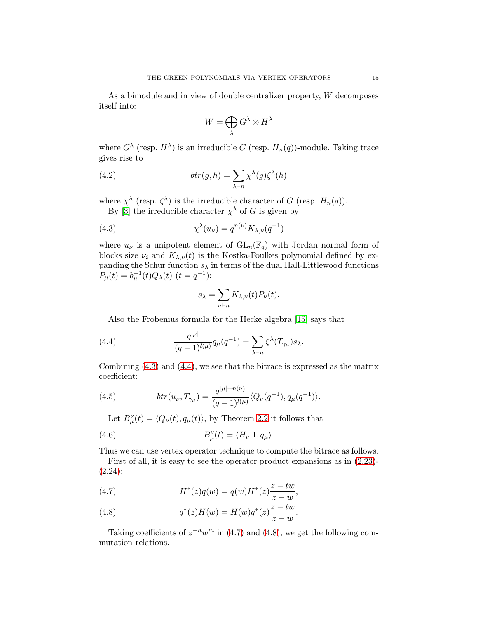As a bimodule and in view of double centralizer property, W decomposes itself into:

$$
W=\bigoplus_\lambda G^\lambda\otimes H^\lambda
$$

where  $G^{\lambda}$  (resp.  $H^{\lambda}$ ) is an irreducible G (resp.  $H_n(q)$ )-module. Taking trace gives rise to

(4.2) 
$$
br(g, h) = \sum_{\lambda \vdash n} \chi^{\lambda}(g) \zeta^{\lambda}(h)
$$

where  $\chi^{\lambda}$  (resp.  $\zeta^{\lambda}$ ) is the irreducible character of G (resp.  $H_n(q)$ ).

By [\[3\]](#page-18-0) the irreducible character  $\chi^{\lambda}$  of G is given by

<span id="page-14-0"></span>(4.3) 
$$
\chi^{\lambda}(u_{\nu}) = q^{n(\nu)} K_{\lambda,\nu}(q^{-1})
$$

where  $u_{\nu}$  is a unipotent element of  $GL_n(\mathbb{F}_q)$  with Jordan normal form of blocks size  $\nu_i$  and  $K_{\lambda,\nu}(t)$  is the Kostka-Foulkes polynomial defined by expanding the Schur function  $s_{\lambda}$  in terms of the dual Hall-Littlewood functions  $P_{\mu}(t) = b_{\mu}^{-1}(t)Q_{\lambda}(t)$   $(t = q^{-1})$ :

$$
s_\lambda=\sum_{\nu\vdash n}K_{\lambda,\nu}(t)P_\nu(t).
$$

Also the Frobenius formula for the Hecke algebra [\[15\]](#page-18-9) says that

<span id="page-14-1"></span>(4.4) 
$$
\frac{q^{|\mu|}}{(q-1)^{l(\mu)}}q_{\mu}(q^{-1}) = \sum_{\lambda \vdash n} \zeta^{\lambda}(T_{\gamma_{\mu}})s_{\lambda}.
$$

Combining [\(4.3\)](#page-14-0) and [\(4.4\)](#page-14-1), we see that the bitrace is expressed as the matrix coefficient:

(4.5) 
$$
btr(u_{\nu}, T_{\gamma_{\mu}}) = \frac{q^{|\mu|+n(\nu)}}{(q-1)^{l(\mu)}} \langle Q_{\nu}(q^{-1}), q_{\mu}(q^{-1}) \rangle.
$$

<span id="page-14-4"></span>Let  $B_{\mu}^{\nu}(t) = \langle Q_{\nu}(t), q_{\mu}(t) \rangle$ , by Theorem [2.2](#page-4-0) it follows that

(4.6) 
$$
B_{\mu}^{\nu}(t) = \langle H_{\nu}.1, q_{\mu} \rangle.
$$

Thus we can use vertex operator technique to compute the bitrace as follows.

First of all, it is easy to see the operator product expansions as in [\(2.23\)](#page-5-1)-  $(2.24)$ :

<span id="page-14-2"></span>(4.7) 
$$
H^*(z)q(w) = q(w)H^*(z)\frac{z-tw}{z-w},
$$

<span id="page-14-3"></span>(4.8) 
$$
q^*(z)H(w) = H(w)q^*(z)\frac{z-tw}{z-w}.
$$

Taking coefficients of  $z^{-n}w^m$  in [\(4.7\)](#page-14-2) and [\(4.8\)](#page-14-3), we get the following commutation relations.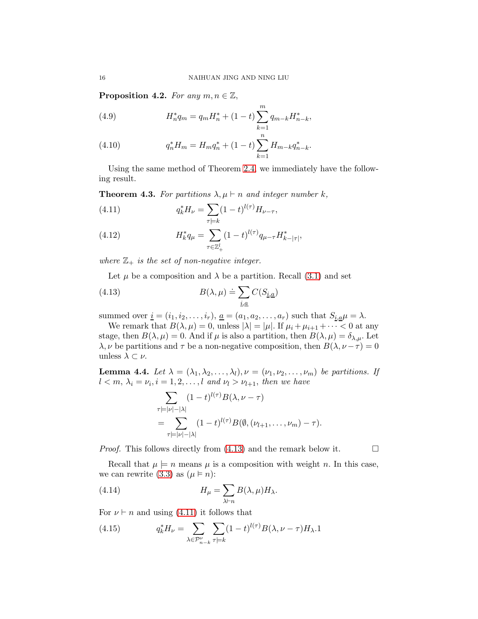**Proposition 4.2.** For any  $m, n \in \mathbb{Z}$ ,

(4.9) 
$$
H_n^* q_m = q_m H_n^* + (1 - t) \sum_{k=1}^m q_{m-k} H_{n-k}^*,
$$

(4.10) 
$$
q_n^* H_m = H_m q_n^* + (1 - t) \sum_{k=1}^n H_{m-k} q_{n-k}^*.
$$

Using the same method of Theorem [2.4,](#page-6-2) we immediately have the following result.

**Theorem 4.3.** For partitions  $\lambda, \mu \vdash n$  and integer number k,

<span id="page-15-1"></span>(4.11) 
$$
q_k^* H_\nu = \sum_{\tau \models k} (1-t)^{l(\tau)} H_{\nu - \tau},
$$

(4.12) 
$$
H_k^* q_\mu = \sum_{\tau \in \mathbb{Z}_+^l} (1-t)^{l(\tau)} q_{\mu - \tau} H_{k - |\tau|}^*,
$$

where  $\mathbb{Z}_+$  is the set of non-negative integer.

Let  $\mu$  be a composition and  $\lambda$  be a partition. Recall [\(3.1\)](#page-10-1) and set

<span id="page-15-0"></span>(4.13) 
$$
B(\lambda, \mu) \doteq \sum_{\underline{i}, \underline{a}} C(S_{\underline{i}, \underline{a}})
$$

summed over  $\underline{i} = (i_1, i_2, \ldots, i_r), \underline{a} = (a_1, a_2, \ldots, a_r)$  such that  $S_{\underline{i}, \underline{a}} \mu = \lambda$ .

We remark that  $B(\lambda, \mu) = 0$ , unless  $|\lambda| = |\mu|$ . If  $\mu_i + \mu_{i+1} + \cdots < 0$  at any stage, then  $B(\lambda, \mu) = 0$ . And if  $\mu$  is also a partition, then  $B(\lambda, \mu) = \delta_{\lambda, \mu}$ . Let  $\lambda, \nu$  be partitions and  $\tau$  be a non-negative composition, then  $B(\lambda, \nu - \tau) = 0$ unless  $\lambda \subset \nu$ .

<span id="page-15-3"></span>**Lemma 4.4.** Let  $\lambda = (\lambda_1, \lambda_2, \ldots, \lambda_l), \nu = (\nu_1, \nu_2, \ldots, \nu_m)$  be partitions. If  $l < m, \lambda_i = \nu_i, i = 1, 2, \ldots, l$  and  $\nu_l > \nu_{l+1}$ , then we have

$$
\sum_{\tau=|\nu|-|\lambda|} (1-t)^{l(\tau)} B(\lambda, \nu - \tau)
$$
  
= 
$$
\sum_{\tau=|\nu|-|\lambda|} (1-t)^{l(\tau)} B(\emptyset, (\nu_{l+1}, \dots, \nu_m) - \tau).
$$

*Proof.* This follows directly from [\(4.13\)](#page-15-0) and the remark below it.  $\Box$ 

Recall that  $\mu \models n$  means  $\mu$  is a composition with weight n. In this case, we can rewrite [\(3.3\)](#page-11-1) as  $(\mu \models n)$ :

(4.14) 
$$
H_{\mu} = \sum_{\lambda \vdash n} B(\lambda, \mu) H_{\lambda}.
$$

For  $\nu \vdash n$  and using [\(4.11\)](#page-15-1) it follows that

<span id="page-15-2"></span>(4.15) 
$$
q_k^* H_\nu = \sum_{\lambda \in \mathcal{P}_{n-k}^\nu} \sum_{\tau \models k} (1-t)^{l(\tau)} B(\lambda, \nu - \tau) H_\lambda.1
$$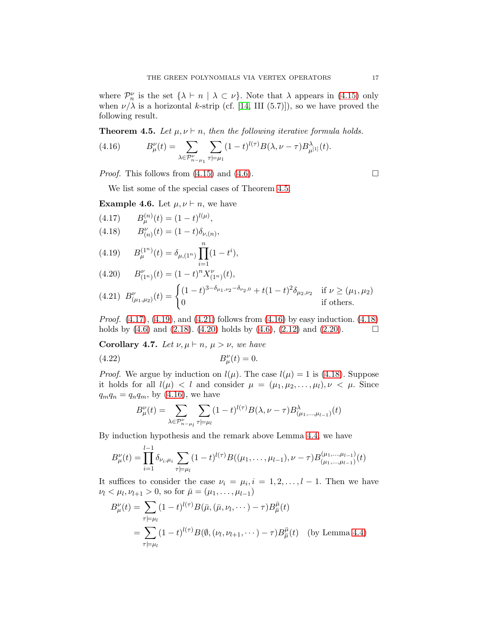where  $\mathcal{P}_n^{\nu}$  is the set  $\{\lambda \vdash n \mid \lambda \subset \nu\}$ . Note that  $\lambda$  appears in [\(4.15\)](#page-15-2) only when  $\nu/\lambda$  is a horizontal k-strip (cf. [\[14,](#page-18-2) III (5.7)]), so we have proved the following result.

<span id="page-16-0"></span>**Theorem 4.5.** Let  $\mu, \nu \vdash n$ , then the following iterative formula holds.

<span id="page-16-4"></span>(4.16) 
$$
B_{\mu}^{\nu}(t) = \sum_{\lambda \in \mathcal{P}_{n-\mu_1}^{\nu}} \sum_{\tau \models \mu_1} (1-t)^{l(\tau)} B(\lambda, \nu - \tau) B_{\mu^{[1]}}^{\lambda}(t).
$$

*Proof.* This follows from  $(4.15)$  and  $(4.6)$ .

We list some of the special cases of Theorem [4.5.](#page-16-0)

**Example 4.6.** Let  $\mu, \nu \vdash n$ , we have

<span id="page-16-5"></span><span id="page-16-1"></span>(4.17) 
$$
B_{\mu}^{(n)}(t) = (1 - t)^{l(\mu)},
$$
  
(4.18) 
$$
B_{(n)}^{\nu}(t) = (1 - t)\delta_{\nu,(n)},
$$

<span id="page-16-2"></span>(4.19) 
$$
B_{\mu}^{(1^n)}(t) = \delta_{\mu,(1^n)} \prod_{i=1}^n (1 - t^i),
$$

<span id="page-16-6"></span>
$$
(4.20) \tB_{(1^n)}^{\nu}(t) = (1-t)^n X_{(1^n)}^{\nu}(t),
$$

<span id="page-16-3"></span>
$$
(4.21) \ B_{(\mu_1,\mu_2)}^{\nu}(t) = \begin{cases} (1-t)^{3-\delta_{\mu_1,\nu_2}-\delta_{\nu_2,0}} + t(1-t)^2 \delta_{\mu_2,\nu_2} & \text{if } \nu \ge (\mu_1,\mu_2) \\ 0 & \text{if others.} \end{cases}
$$

*Proof.*  $(4.17)$ ,  $(4.19)$ , and  $(4.21)$  follows from  $(4.16)$  by easy induction.  $(4.18)$ holds by  $(4.6)$  and  $(2.18)$ .  $(4.20)$  holds by  $(4.6)$ ,  $(2.12)$  and  $(2.20)$ .

Corollary 4.7. Let  $\nu, \mu \vdash n, \mu > \nu$ , we have

(4.22) 
$$
B_{\mu}^{\nu}(t) = 0.
$$

l−1

*Proof.* We argue by induction on  $l(\mu)$ . The case  $l(\mu) = 1$  is [\(4.18\)](#page-16-5). Suppose it holds for all  $l(\mu) < l$  and consider  $\mu = (\mu_1, \mu_2, \dots, \mu_l), \nu < \mu$ . Since  $q_mq_n = q_nq_m$ , by [\(4.16\)](#page-16-4), we have

$$
B_{\mu}^{\nu}(t) = \sum_{\lambda \in \mathcal{P}_{n-\mu_l}^{\nu}} \sum_{\tau \models \mu_l} (1-t)^{l(\tau)} B(\lambda, \nu - \tau) B_{(\mu_1, \dots, \mu_{l-1})}^{\lambda}(t)
$$

By induction hypothesis and the remark above Lemma [4.4,](#page-15-3) we have

$$
B^{\nu}_{\mu}(t) = \prod_{i=1}^{l-1} \delta_{\nu_i,\mu_i} \sum_{\tau \models \mu_l} (1-t)^{l(\tau)} B((\mu_1,\ldots,\mu_{l-1}),\nu-\tau) B^{(\mu_1,\ldots,\mu_{l-1})}_{(\mu_1,\ldots,\mu_{l-1})}(t)
$$

It suffices to consider the case  $\nu_i = \mu_i, i = 1, 2, \ldots, l-1$ . Then we have  $\nu_l < \mu_l, \nu_{l+1} > 0$ , so for  $\bar{\mu} = (\mu_1, \dots, \mu_{l-1})$ 

$$
B^{\nu}_{\mu}(t) = \sum_{\tau \models \mu_l} (1 - t)^{l(\tau)} B(\bar{\mu}, (\bar{\mu}, \nu_l, \cdots) - \tau) B^{\bar{\mu}}_{\bar{\mu}}(t)
$$
  
= 
$$
\sum_{\tau \models \mu_l} (1 - t)^{l(\tau)} B(\emptyset, (\nu_l, \nu_{l+1}, \cdots) - \tau) B^{\bar{\mu}}_{\bar{\mu}}(t) \text{ (by Lemma 4.4)}
$$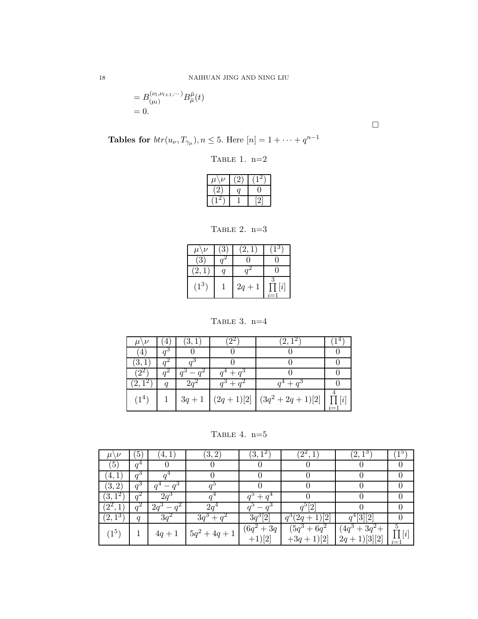$$
=B_{(\mu_l)}^{(\nu_l,\nu_{l+1},\cdots)}B^{\bar{\mu}}_{\bar{\mu}}(t)\\=0.
$$

 $\Box$ 

Tables for  $br(u_\nu, T_{\gamma_\mu}), n \leq 5$ . Here  $[n] = 1 + \cdots + q^{n-1}$ 

Table 1. n=2

| ν<br>$\mu$ |  |
|------------|--|
| ←          |  |
|            |  |

TABLE 2.  $n=3$ 

| $\mu\backslash\nu$ | $\mathbf{3}$ | (2,1)    | $\mathsf{I}^{\mathsf{o}}$ |
|--------------------|--------------|----------|---------------------------|
| $^{\prime}3$ ,     |              |          |                           |
| $\left[2, \right]$ |              |          |                           |
| $(1^3)$            |              | $2q + 1$ | $\left  i \right $        |

TABLE 3. n=4

| $(1^4)$ | $3q+1$ | $(2q+1)[2] (3q^2+2q+1)[2]$ |  |
|---------|--------|----------------------------|--|

TABLE 4.  $n=5$ 

| $\mu$            | $\sqrt{5}$ | 4,<br>$\perp$ | (3, 2)          | 3,                      | $2^2$                              | $\mathbf{2},$                           |                         |
|------------------|------------|---------------|-----------------|-------------------------|------------------------------------|-----------------------------------------|-------------------------|
| $\left(5\right)$ | $q^4$      |               |                 |                         |                                    |                                         |                         |
| 4,               |            |               |                 |                         |                                    |                                         |                         |
| (3, 2)           |            |               |                 |                         |                                    |                                         |                         |
| $\overline{3,}$  |            | 2q            |                 | $^+$                    |                                    |                                         |                         |
| $\sqrt{2^2}$ ,   |            | $2q^3$        | ົ               |                         |                                    |                                         |                         |
| $(2,1^3)$        | q          | 3q            | $3q^3$          | $3q^3$                  | $\left\lceil 2\right\rceil$<br>(2q | [3][2]                                  |                         |
| $(1^5)$          |            | $4q + 1$      | $5q^2 + 4q + 1$ | $(6q^2+3q)$<br>$+1)[2]$ | $(5q^3 + 6q^2)$<br>$+3q+1$ [2]     | $+3q^2+$<br>$4q^3$<br>$+1)[3][2]$<br>2q | 5<br>$\Pi$ [i]<br>$i=1$ |